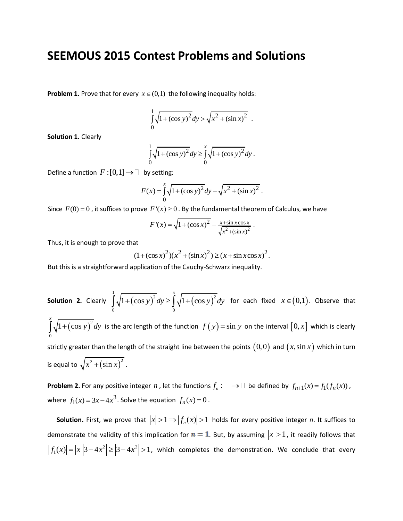## **SEEMOUS 2015 Contest Problems and Solutions**

**Problem 1.** Prove that for every  $x \in (0,1)$  the following inequality holds:

$$
\int_{0}^{1} \sqrt{1 + (\cos y)^2} dy > \sqrt{x^2 + (\sin x)^2} .
$$

**Solution 1.** Clearly

$$
\int_{0}^{1} \sqrt{1 + (\cos y)^2} \, dy \ge \int_{0}^{x} \sqrt{1 + (\cos y)^2} \, dy \, .
$$

Define a function  $F:[0,1] \to \Box$  by setting:

$$
F(x) = \int_{0}^{x} \sqrt{1 + (\cos y)^2} dy - \sqrt{x^2 + (\sin x)^2}.
$$

Since  $F(0) = 0$ , it suffices to prove  $F'(x) \ge 0$ . By the fundamental theorem of Calculus, we have

$$
F'(x) = \sqrt{1 + (\cos x)^2} - \frac{x + \sin x \cos x}{\sqrt{x^2 + (\sin x)^2}}.
$$

Thus, it is enough to prove that

at  
\n
$$
(1 + (\cos x)^2)(x^2 + (\sin x)^2) \ge (x + \sin x \cos x)^2
$$
.

But this is a straightforward application of the Cauchy-Schwarz inequality.

**Solution 2.** Clearly  $\int \sqrt{1 + (\cos y)^2} dy \ge \int \sqrt{1 + (\cos y)^2}$  $\int_{1}^{1} \sqrt{1 + (\cos y)^2} dy$   $\int_{1}^{x} \sqrt{1 + (\cos y)^2}$  $\int_{0}^{\frac{\pi}{2}} V^{2} (cos \theta) dy = \int_{0}^{\frac{\pi}{2}}$  $1 + (\cos y)^2 dy \ge \int_0^x \sqrt{1 + (\cos^2 y)^2} dy$  $\int_{0}^{1} \sqrt{1 + (\cos y)^2} dy \ge \int_{0}^{x} \sqrt{1 + (\cos y)^2} dy$ for each fixed  $x \in (0,1)$ . Observe that  $(\cos y)^2$ 0  $\int_0^x \sqrt{1 + (\cos y)^2} dy$  is the arc length of the function  $f(y) = \sin y$  on the interval  $[0, x]$  which is clearly strictly greater than the length of the straight line between the points  $(0,0)$  and  $(x,\sin x)$  which in turn is equal to  $\sqrt{x^2 + (\sin x)^2}$ .

**Problem 2.** For any positive integer  $n$  , let the functions  $f_n:\Box\to\Box$  be defined by  $f_{n+1}(x) = f_1(f_n(x))$ , where  $f_1(x) = 3x - 4x^3$ . Solve the equation  $f_n(x) = 0$ .

**Solution.** First, we prove that  $|x| > 1 \Rightarrow |f_n(x)| > 1$  holds for every positive integer *n*. It suffices to demonstrate the validity of this implication for  $n = 1$ . But, by assuming  $|x| > 1$  , it readily follows that  $\vert f_1(x)\vert = \vert x\vert \vert 3 - 4x^2\vert \geq \vert 3 - 4x^2\vert > 1$ , which completes the demonstration. We conclude that every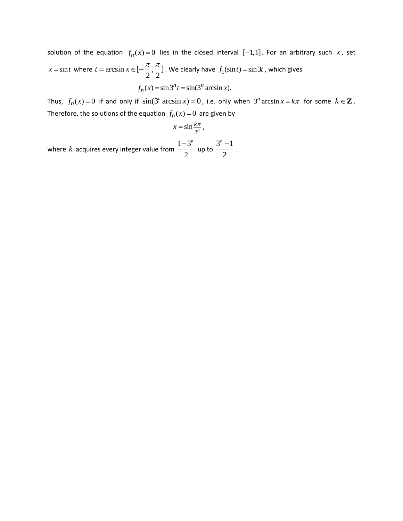solution of the equation  $f_n(x) = 0$  lies in the closed interval  $[-1,1]$ . For an arbitrary such x, set  $x = \sin t$  where  $t = \arcsin x \in [-\frac{\pi}{2}, \frac{\pi}{2}]$  $\overline{2}$ ,  $\overline{2}$  $t = \arcsin x \in [-\frac{\pi}{2}, \frac{\pi}{2}]$  . We clearly have  $f_1(\sin t) = \sin 3t$  , which gives  $f_n(x) = \sin 3^n t = \sin(3^n \arcsin x).$ 

Thus,  $f_n(x) = 0$  if and only if  $sin(3^n arcsin x) = 0$ , i.e. only when  $3^n arcsin x = k\pi$  for some  $k \in \mathbb{Z}$ . Therefore, the solutions of the equation  $f_n(x) = 0$  are given by

$$
x=\sin\frac{k\pi}{3^n},
$$

where *k* acquires every integer value from  $1 - 3$ 2  $-3^n$ up to  $3^n - 1$ 2 *n* .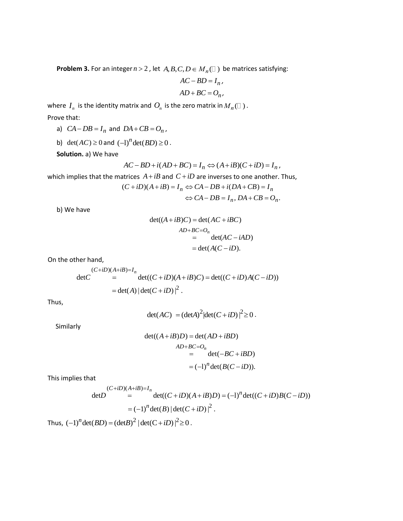**Problem 3.** For an integer  $n > 2$  , let  $A, B, C, D \in M_n(\square)$  be matrices satisfying:

$$
AC - BD = I_n,
$$
  

$$
AD + BC = O_n,
$$

where  $I_n$  is the identity matrix and  $O_n$  is the zero matrix in  $M_n(\Box)$  . Prove that:

- a)  $CA DB = I_n$  and  $DA + CB = O_n$ ,
- b) det( $AC$ )  $\geq$  0 and  $(-1)^n$  det( $BD$ )  $\geq$  0.

**Solution.** a) We have

$$
AC - BD + i(AD + BC) = I_n \Leftrightarrow (A + iB)(C + iD) = I_n,
$$

which implies that the matrices 
$$
A + iB
$$
 and  $C + iD$  are inverses to one another. Thus,  
\n
$$
(C + iD)(A + iB) = I_n \Leftrightarrow CA - DB + i(DA + CB) = I_n
$$
\n
$$
\Leftrightarrow CA - DB = I_n, DA + CB = O_n.
$$

b) We have

$$
det((A+iB)C) = det(AC+iBC)
$$
  
AD+BC=O<sub>n</sub>  
= det(AC-iAD)  
= det(A(C-iD).

On the other hand,

where hand,

\n
$$
(C+iD)(A+iB)=I_n
$$
\n
$$
\det C = \det((C+iD)(A+iB)C) = \det((C+iD)A(C-iD))
$$
\n
$$
= \det(A) |\det(C+iD)|^2.
$$

Thus,

$$
\det(AC) = (\det A)^2 |\det(C + iD)|^2 \ge 0.
$$

Similarly

$$
det((A+iB)D) = det(AD+iBD)
$$
  
\n
$$
AD+BC=O_n
$$
  
\n
$$
= det(-BC+iBD)
$$
  
\n
$$
= (-1)^n det(B(C-iD)).
$$

This implies that

This implies that  
\n
$$
(C+iD)(A+iB)=I_n
$$
\n
$$
\det D = \det((C+iD)(A+iB)D) = (-1)^n \det((C+iD)B(C-iD))
$$
\n
$$
= (-1)^n \det(B) |\det(C+iD)|^2.
$$
\nThus,  $(-1)^n \det(BD) = (\det B)^2 |\det(C+iD)|^2 \ge 0.$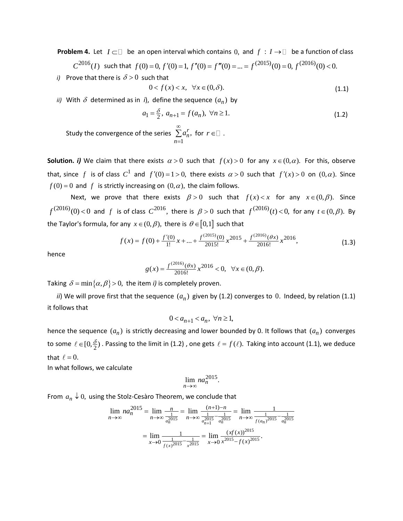**Problem 4.** Let  $I \subset \Box$  be an open interval which contains 0, and  $f : I \to \Box$  be a function of class **em 4.** Let  $I \subset \Box$  be an open interval which contains 0, and  $f : I \to \Box$  be a function of class  $C^{2016}(I)$  such that  $f(0) = 0, f'(0) = 1, f''(0) = f'''(0) = ... = f^{(2015)}(0) = 0, f^{(2016)}(0) < 0.$ *i*) Prove that there is  $\delta > 0$  such that

$$
0 < f(x) < x, \quad \forall x \in (0, \delta). \tag{1.1}
$$

*ii*) With  $\delta$  determined as in *i*), define the sequence  $(a_n)$  by

$$
a_1 = \frac{\delta}{2}, \ a_{n+1} = f(a_n), \ \forall n \ge 1.
$$
 (1.2)

Study the convergence of the series 1 , *r n n a*  $\infty$  $=$  $\sum a_n^r$ , for  $r \in \Box$  .

**Solution.** *i***)** We claim that there exists  $\alpha > 0$  such that  $f(x) > 0$  for any  $x \in (0, \alpha)$ . For this, observe that, since f is of class  $C^1$  and  $f'(0) = 1 > 0$ , there exists  $\alpha > 0$  such that  $f'(x) > 0$  on  $(0, \alpha)$ . Since  $f(0) = 0$  and  $f$  is strictly increasing on  $(0, \alpha)$ , the claim follows.

Next, we prove that there exists  $\beta > 0$  such that  $f(x) < x$  for any  $x \in (0, \beta)$ . Since  $f^{(2016)}(0)$  < 0 and f is of class  $C^{2016}$ , there is  $\beta > 0$  such that  $f^{(2016)}(t)$  < 0, for any  $t \in (0, \beta)$ . By

the Taylor's formula, for any 
$$
x \in (0, \beta)
$$
, there is  $\theta \in [0,1]$  such that  
\n
$$
f(x) = f(0) + \frac{f'(0)}{1!}x + ... + \frac{f^{(2015)}(0)}{2015!}x^{2015} + \frac{f^{(2016)}(\theta x)}{2016!}x^{2016},
$$
\n(1.3)

hence

$$
g(x) = \frac{f^{(2016)}(\theta x)}{2016!} x^{2016} < 0, \quad \forall x \in (0, \beta).
$$

Taking  $\delta = \min\{\alpha, \beta\} > 0$ , the item *i*) is completely proven.

*ii*) We will prove first that the sequence  $(a_n)$  given by (1.2) converges to 0. Indeed, by relation (1.1) it follows that

$$
0 < a_{n+1} < a_n, \ \forall n \ge 1,
$$

hence the sequence  $(a_n)$  is strictly decreasing and lower bounded by 0. It follows that  $(a_n)$  converges to some  $\ell \in [0, \frac{\delta}{2})$  . Passing to the limit in (1.2) , one gets  $\ell = f(\ell)$ . Taking into account (1.1), we deduce that  $\ell = 0$ .

In what follows, we calculate

$$
\lim_{n \to \infty} na_n^{2015}.
$$

From 
$$
a_n \downarrow 0
$$
, using the Stolz-Cesàro Theorem, we conclude that  
\n
$$
\lim_{n \to \infty} na_n^{2015} = \lim_{n \to \infty} \frac{n}{\frac{1}{a_n^{2015}}} = \lim_{n \to \infty} \frac{(n+1)-n}{\frac{1}{a_{n+1}^{2015}} - \frac{1}{a_n^{2015}}} = \lim_{n \to \infty} \frac{1}{\frac{1}{f(a_n)^{2015}} - \frac{1}{a_n^{2015}}}
$$
\n
$$
= \lim_{x \to 0} \frac{1}{\frac{1}{f(x)^{2015}} - \frac{1}{x^{2015}}} = \lim_{x \to 0} \frac{(xf(x))^{2015}}{x^{2015} - f(x)^{2015}}.
$$